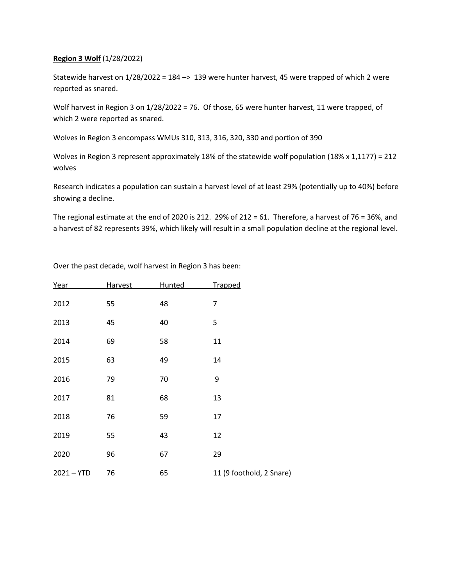## **Region 3 Wolf** (1/28/2022)

Statewide harvest on 1/28/2022 = 184 –> 139 were hunter harvest, 45 were trapped of which 2 were reported as snared.

Wolf harvest in Region 3 on 1/28/2022 = 76. Of those, 65 were hunter harvest, 11 were trapped, of which 2 were reported as snared.

Wolves in Region 3 encompass WMUs 310, 313, 316, 320, 330 and portion of 390

Wolves in Region 3 represent approximately 18% of the statewide wolf population (18% x 1,1177) = 212 wolves

Research indicates a population can sustain a harvest level of at least 29% (potentially up to 40%) before showing a decline.

The regional estimate at the end of 2020 is 212. 29% of 212 = 61. Therefore, a harvest of 76 = 36%, and a harvest of 82 represents 39%, which likely will result in a small population decline at the regional level.

| Year         | Harvest | Hunted | Trapped                  |  |
|--------------|---------|--------|--------------------------|--|
| 2012         | 55      | 48     | $\overline{7}$           |  |
| 2013         | 45      | 40     | 5                        |  |
| 2014         | 69      | 58     | 11                       |  |
| 2015         | 63      | 49     | 14                       |  |
| 2016         | 79      | 70     | 9                        |  |
| 2017         | 81      | 68     | 13                       |  |
| 2018         | 76      | 59     | 17                       |  |
| 2019         | 55      | 43     | 12                       |  |
| 2020         | 96      | 67     | 29                       |  |
| $2021 - YTD$ | 76      | 65     | 11 (9 foothold, 2 Snare) |  |

Over the past decade, wolf harvest in Region 3 has been: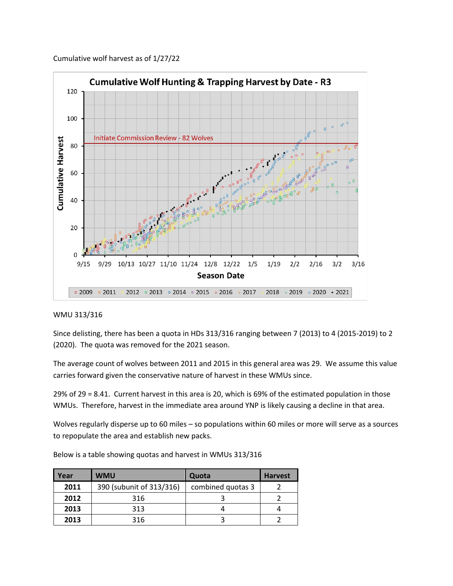



## WMU 313/316

Since delisting, there has been a quota in HDs 313/316 ranging between 7 (2013) to 4 (2015-2019) to 2 (2020). The quota was removed for the 2021 season.

The average count of wolves between 2011 and 2015 in this general area was 29. We assume this value carries forward given the conservative nature of harvest in these WMUs since.

29% of 29 = 8.41. Current harvest in this area is 20, which is 69% of the estimated population in those WMUs. Therefore, harvest in the immediate area around YNP is likely causing a decline in that area.

Wolves regularly disperse up to 60 miles – so populations within 60 miles or more will serve as a sources to repopulate the area and establish new packs.

| Year | <b>WMU</b>               | Quota             | <b>Harvest</b> |
|------|--------------------------|-------------------|----------------|
| 2011 | 390 (subunit of 313/316) | combined quotas 3 |                |
| 2012 | 316                      |                   |                |
| 2013 | 313                      |                   |                |
| 2013 | 316                      |                   |                |

Below is a table showing quotas and harvest in WMUs 313/316